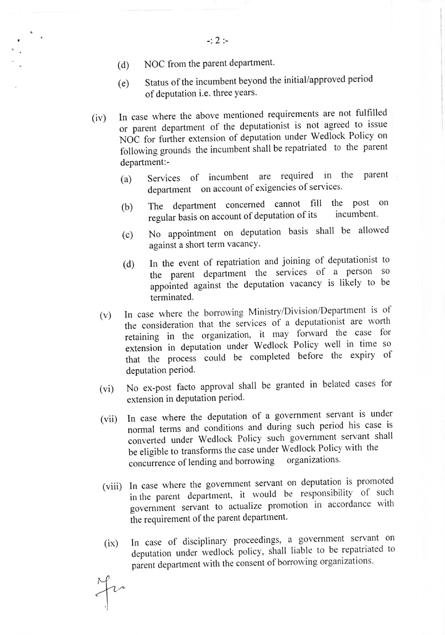- NOC from the parent department.  $(d)$
- Status of the incumbent beyond the initial/approved period  $(e)$ of deputation i.e. three years.
- (iv) In case where the above mentioned requirements are not fulfilled or parent department of the deputationist is not agreed to issue NOC for further extension of deputation under Wedlock Policy on following grounds the incumbent shall be repatriated to the parent department:-
	- Services of incumbent are required in the parent  $(a)$ department on account of exigencies of services.
	- The department concerned cannot fill the post on<br>regular basis on account of deputation of its incumbent.  $(b)$ regular basis on account of deputation of its
	- No appointment on deputation basis shall be allowed  $(c)$ against a short term vacancy.
	- In the event of repatriation and joining of deputationist to  $(d)$ the parent department the services of a person so appointed against the deputation vacancy is likely to be terminated.
	- In case where the borrowing Ministry/Division/Department is of  $(v)$ the consideration that the services of a deputationist are worth retaining in the organization, it may forward the case for extension in deputation under Wedlock Policy well in time so that the process could be completed before the expiry of deputation period.
	- No ex-post facto approval shall be granted in belated cases for  $(vi)$ extension in deputation period.
	- In case where the deputation of a government servant is under  $(vii)$ normal terms and conditions and during such period his case is converted under Wedlock Policy such government servant shall be eligible to transforms the case under Wedlock Policy with the concurrence of lending and borrowing organizations. concurrence of lending and borrowing
	- (viii) In case where the government servant on deputation is promoted in the parent department, it would be responsibility of such government servant to actualize promotion in accordance with the requirement of the parent department.
	- In case of disciplinary proceedings, a government servant on  $(ix)$ deputation under wedlock policy, shall liable to be repatriated to parent department with the consent of borrowing organizations.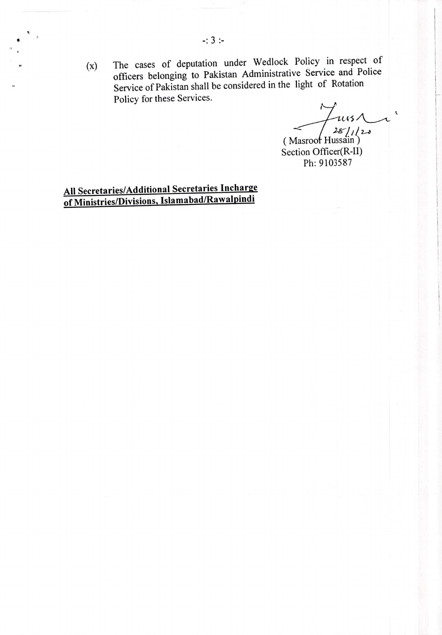(x) The cases of deputation under Wedlock Policy in respect of officers belonging **to** Pakistan Administrative Service and Police Service of Pakistan shall be considered in the light of Rotation Policy for these Services.

 $1115/$  $28$   $11$   $20$ 

(Masroot Hussain) Section Officer(R-II) Ph: 9103587

**All Secretaries/Additional Secretaries Incharge of Ministries/Divisions, Islamabad/Rawalpindi**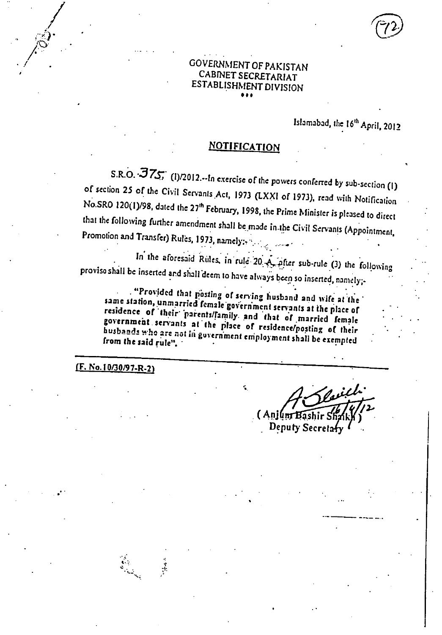# GOVERNMENT OF PAKISTAN CABINET SECRETARIAT ESTABLISHMENT DIVISION<br>\*\*\*

Islamabad, the 16th April, 2012

#### **NOTIFICATION**

S.R.O. <sup>'</sup>375,' (1)/2012.--In exercise of the powers conferred by sub-section (1) of section 25 of the Civil Servants Act, 1973 (LXNI of 1973), read with Notification No.SRO 120(1)/98, dated the 27<sup>th</sup> February, 1998, the Prime Minister is pleased to direct that the following further amendment shall **be** fimade in.the Civil Servants (Appointment, Promotion and Transfer) Rules, 1973, namely:<sup>41</sup>1420 ......

In the aforesaid Rules, in rule 20.4. after sub-rule (3) the following proviso shall be inserted and shalideem to have always been so *inserted,* namely;

"Provided that posting of serving husband and wife at the same station, unmarried female government servants at the place of residence of their parents/family. and that of married female government servants at the place of residence/posting of their husbands who are not in government employment shall be exempted from the said rule".

¢.

(F. No.10/30/97-R-2)

2 Anjum Bashir Shaikh) Deputy Secret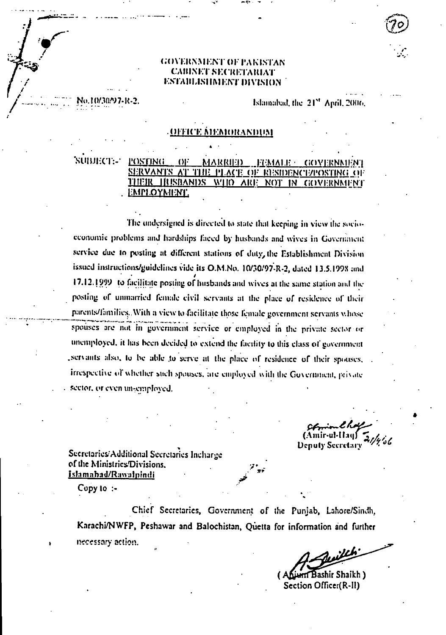#### **GOVERNMENT OF PAKISTAN CABINET SECRETARIAT** ESTAILISHMENT DIVISION

No.10/30227-R-2.

#### Islamabad, the 21<sup>st</sup> April, 2006.

#### <u>(OFFICE MEMORANDUM</u>

'SUBJECT:-'

#### POSTING  $O1$ MARRIED **GOVERNMENT** TEMALE -THE PLACE OF RESIDENCE/POSTING OF SERVANTS AT <u>THEIR HUSBANDS WHO ARE</u> NOT IN GOVERNMENT EMPLOYMENT.

The undersigned is directed to state that keeping in view the socioeconomic problems and hardships faced by husbands and wives in Government service due to posting at different stations of duty, the Establishment Division issued instructions/guidelines vide its O.M.No. 10/30/97-R-2, dated 13.5.1998 and 17.12.1999 to facilitate posting of husbands and wives at the same station and the posting of unmarried female civil servants at the place of residence of their parents/families. With a view to facilitate those female government servants whose spouses are not in government service or employed in the private sector or unemployed, it has been decided to extend the facility to this class of government iservants also, to be able to serve at the place of residence of their sponses, irrespective of whether such spouses, are employed with the Government, private sector, or even un-employed.

**Denuty Secretary** 

Secretaries/Additional Secretaries Incharge of the Ministrics/Divisions. Islamabad/Rawalpindi

 $Copy to:$ 

Chief Secretaries, Government of the Punjab, Lahore/Sindh, Karachi/NWFP, Peshawar and Balochistan, Quetta for information and further necessary action.

Ahierri Bashir Shaikh) Section Officer(R-II)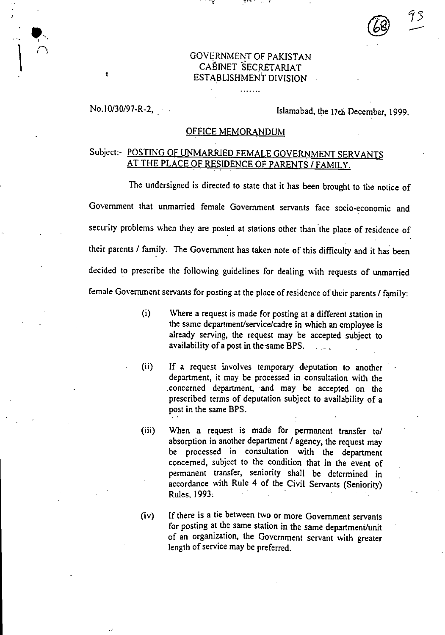#### GOVERNMENT OF PAKISTAN CABINET SECRETARIAT ESTABLISHMENT DIVISION •

No.10/30/97-R-2, Islamabad, the 17th December, 1999.

#### OFFICE MEMORANDUM

### Subject:- POSTING OF UNMARRIED FEMALE GOVERNMENT SERVANTS AT THE PLACE OF RESIDENCE OF PARENTS / FAMILY.

The undersigned is directed to state that it has been brought to the notice of Government that unmarried female Government servants face socio-economic and security problems when they are posted at stations other than the place of residence of their parents / family. The Government has taken note of this difficulty and it has been decided to prescribe the following guidelines for dealing with requests of unmarried female Government servants for posting at the place of residence of their parents / family:

- $(i)$ Where a request is made for posting at a different station in the same department/service/cadre in which an employee is already serving, the request may be accepted subject to availability of a post in the same BPS.
- $(ii)$ If a request involves temporary deputation to another department, it may be processed in consultation with the concerned department, and may be accepted on the prescribed terms of deputation subject to availability of a post in the same BPS.
- $(iii)$ When a request is made for permanent transfer to/ absorption in another department / agency, the request may be processed in consultation with the department concerned, subject to the condition that in the event of permanent transfer, seniority shall be determined in accordance with Rule 4 of the Civil Servants (Seniority) Rules, 1993:
- If there is a tie between two or more Government servants  $(iv)$ for posting at the same station in the same department/unit of an organization, the Government servant with greater length of service may be preferred.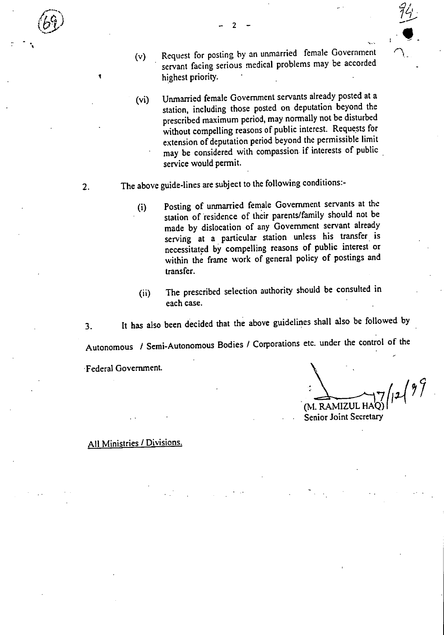- Request for posting by an unmarried female Government  $(v)$ servant facing serious medical problems may be accorded highest priority.
- Unmarried female Government servants already posted at a  $(v_i)$ station, including those posted on deputation beyond the prescribed maximum period, may normally not be disturbed without compelling reasons of public interest. Requests for extension of deputation period beyond the permissible limit may be considered with compassion if interests of public service would permit.
- 2. The above guide-lines are subject to the following conditions:-
	- Posting of unmarried female Government servants at the  $(i)$ station of residence of their parents/family should not be made by dislocation of any Government servant already serving at a particular station unless his transfer is necessitated by compelling reasons of public interest or within the frame work of general policy of postings and transfer.
	- The prescribed selection authority should be consulted in  $(ii)$ each case.

3. It has also been decided that the above guidelines shall also be followed by

Autonomous / Semi-Autonomous Bodies / Corporations etc. under the control of the

Federal Government.

*7(14*  (M. RAMIZUL H

Senior Joint Secretary

#### All Ministries / Divisions.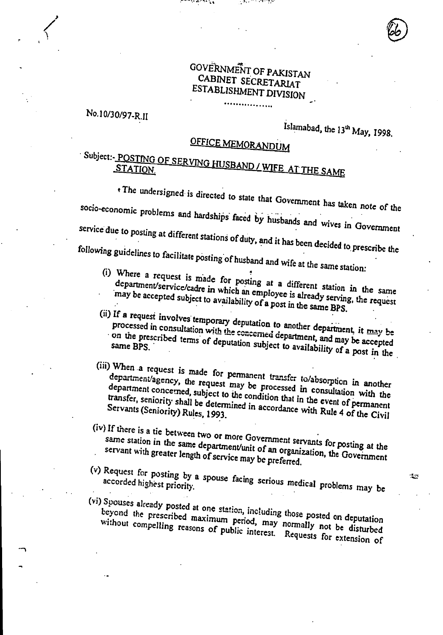### GOVERNMENT OF PAKISTAN CABINET SECRETARIAT ESTABLISHMENT DIVISION ................ .

## No.10/30/97-R.II

# Islamabad, the 13<sup>th</sup> May, 1998.

# OFFICE MEMORANDUM

# Subject:- <u>POSTING OF SERVING HUSBAND / WIFE\_AT THE</u> SAME\_

t The undersigned is directed to state that Government has taken note of the socio-economic problems and hardships faced by husbands and wives in Government and wives in Government and Society service due to posting at different stations of duty, and it has been decided to prescribe the following guidelines to facilitate posting of husband and wife at the same station:

- department/service/cadre in which an employee is also that in the same<br>may be seen the control of the participants of the same may be accepted subject to availability of a post in the same page, the request
- *BPS.* If a request involves temporary is the post in the same BPS. processed in consultation with the concorned in another department, it may be processed in consultation with the concerned department, and may be accepted on the prescribed terms of deputation subject to availability of a post in the
- (iii) When a request is made for permanent transfer to/absorption in another department/agency, the request may be processed in consultation with the department concerned, subject to the condition that in the event of perm transfer, seniority shall be determined in accordance with Rule 4 of the Civil
- (iv) If there is a tie between two or more Government servants for posting at the same station in the same department/unit of an organization, the Government servant with greater length of service may be preferred. servant with greater  $l_{\text{scat}}$  department/unit of an organization, the  $G_{\text{scat}}$  of the servant with greater length of service may be preferred.
- (v) Request for posting by a spouse facing serious medical problems may be
- 

(vi) Spouses already posted at one station, including those posted on deputation beyond the prescribed maximum period, may normally not be disturbed without compelling reasons of public interest. Requests for extension of

 $\cdot$  ...